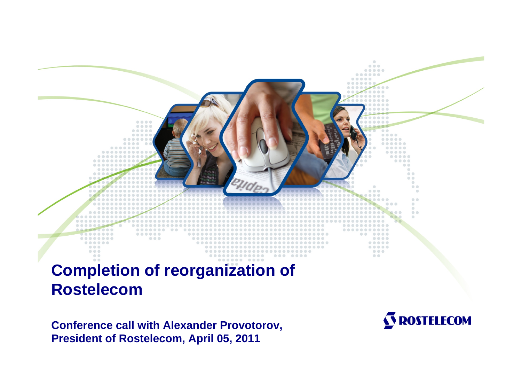

# **Completion of reorganization of Rostelecom**

**Conference call with Alexander Provotorov, President of Rostelecom, April 05, 2011**

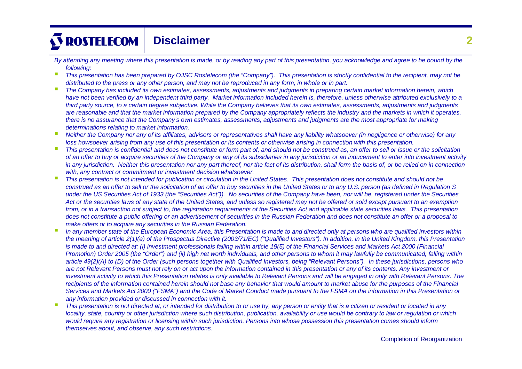# **S ROSTELECOM Disclaimer**

- *By attending any meeting where this presentation is made, or by reading any part of this presentation, you acknowledge and agree to be bound by the following:*
- n *This presentation has been prepared by OJSC Rostelecom (the "Company"). This presentation is strictly confidential to the recipient, may not be distributed to the press or any other person, and may not be reproduced in any form, in whole or in part.*
- *The Company has included its own estimates, assessments, adjustments and judgments in preparing certain market information herein, which have not been verified by an independent third party. Market information included herein is, therefore, unless otherwise attributed exclusively to a third party source, to a certain degree subjective. While the Company believes that its own estimates, assessments, adjustments and judgments are reasonable and that the market information prepared by the Company appropriately reflects the industry and the markets in which it operates, there is no assurance that the Company's own estimates, assessments, adjustments and judgments are the most appropriate for making determinations relating to market information.*
- *Neither the Company nor any of its affiliates, advisors or representatives shall have any liability whatsoever (in negligence or otherwise) for any loss howsoever arising from any use of this presentation or its contents or otherwise arising in connection with this presentation.*
- *This presentation is confidential and does not constitute or form part of, and should not be construed as, an offer to sell or issue or the solicitation of an offer to buy or acquire securities of the Company or any of its subsidiaries in any jurisdiction or an inducement to enter into investment activity in any jurisdiction. Neither this presentation nor any part thereof, nor the fact of its distribution, shall form the basis of, or be relied on in connection with, any contract or commitment or investment decision whatsoever.*
- *This presentation is not intended for publication or circulation in the United States. This presentation does not constitute and should not be*  construed as an offer to sell or the solicitation of an offer to *buy securities in the United States or to any U.S. person (as defined in Regulation S under the US Securities Act of 1933 (the "Securities Act")). No securities of the Company have been, nor will be, registered under the Securities Act or the securities laws of any state of the United States, and unless so registered may not be offered or sold except pursuant to an exemption from, or in a transaction not subject to, the registration requirements of the Securities Act and applicable state securities laws. This presentation does not constitute a public offering or an advertisement of securities in the Russian Federation and does not constitute an offer or a proposal to make offers or to acquire any securities in the Russian Federation.*
- П *In any member state of the European Economic Area, this Presentation is made to and directed only at persons who are qualified investors within the meaning of article 2(1)(e) of the Prospectus Directive (2003/71/EC) ("Qualified Investors"). In addition, in the United Kingdom, this Presentation*  is made to and directed at: (i) investment professionals falling within article 19(5) of the Financial Services and Markets Act 2000 (Financial *Promotion)* Order 2005 (the "Order") and (ii) high net worth individuals, and other persons to whom it may lawfully be communicated, falling within *article 49(2)(A) to (D) of the Order (such persons together with Qualified Investors, being "Relevant Persons"). In these jurisdictions, persons who are not Relevant Persons must not rely on or act upon the information contained in this presentation or any of its contents. Any investment or investment activity to which this Presentation relates is only available to Relevant Persons and will be engaged in only with Relevant Persons. The recipients of the information contained herein should not base any behavior that would amount to market abuse for the purposes of the Financial Services and Markets Act 2000 ("FSMA") and the Code of Market Conduct made pursuant to the FSMA on the information in this Presentation or any information provided or discussed in connection with it.*
- П *This presentation is not directed at, or intended for distribution to or use by, any person or entity that is a citizen or resident or located in any locality, state, country or other jurisdiction where such distribution, publication, availability or use would be contrary to law or regulation or which would require any registration or licensing within such jurisdiction. Persons into whose possession this presentation comes should inform themselves about, and observe, any such restrictions.*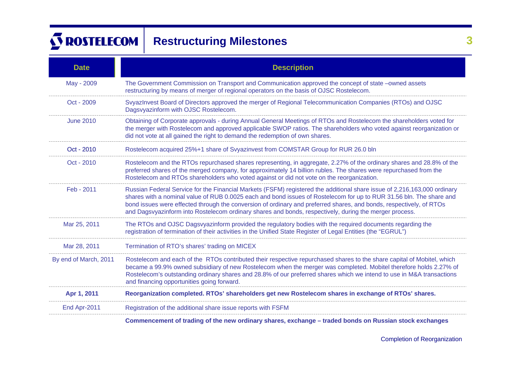# **S ROSTELECOM Restructuring Milestones** 3

| <b>Date</b>           | <b>Description</b>                                                                                                                                                                                                                                                                                                                                                                                                                                                               |  |  |  |  |  |
|-----------------------|----------------------------------------------------------------------------------------------------------------------------------------------------------------------------------------------------------------------------------------------------------------------------------------------------------------------------------------------------------------------------------------------------------------------------------------------------------------------------------|--|--|--|--|--|
| May - 2009            | The Government Commission on Transport and Communication approved the concept of state -owned assets<br>restructuring by means of merger of regional operators on the basis of OJSC Rostelecom.                                                                                                                                                                                                                                                                                  |  |  |  |  |  |
| Oct - 2009            | SvyazInvest Board of Directors approved the merger of Regional Telecommunication Companies (RTOs) and OJSC<br>Dagsvyazinform with OJSC Rostelecom.                                                                                                                                                                                                                                                                                                                               |  |  |  |  |  |
| <b>June 2010</b>      | Obtaining of Corporate approvals - during Annual General Meetings of RTOs and Rostelecom the shareholders voted for<br>the merger with Rostelecom and approved applicable SWOP ratios. The shareholders who voted against reorganization or<br>did not vote at all gained the right to demand the redemption of own shares.                                                                                                                                                      |  |  |  |  |  |
| Oct - 2010            | Rostelecom acquired 25%+1 share of Svyazinvest from COMSTAR Group for RUR 26.0 bln                                                                                                                                                                                                                                                                                                                                                                                               |  |  |  |  |  |
| Oct - 2010            | Rostelecom and the RTOs repurchased shares representing, in aggregate, 2.27% of the ordinary shares and 28.8% of the<br>preferred shares of the merged company, for approximately 14 billion rubles. The shares were repurchased from the<br>Rostelecom and RTOs shareholders who voted against or did not vote on the reorganization.                                                                                                                                           |  |  |  |  |  |
| Feb - 2011            | Russian Federal Service for the Financial Markets (FSFM) registered the additional share issue of 2,216,163,000 ordinary<br>shares with a nominal value of RUB 0.0025 each and bond issues of Rostelecom for up to RUR 31.56 bln. The share and<br>bond issues were effected through the conversion of ordinary and preferred shares, and bonds, respectively, of RTOs<br>and Dagsvyazinform into Rostelecom ordinary shares and bonds, respectively, during the merger process. |  |  |  |  |  |
| Mar 25, 2011          | The RTOs and OJSC Dagsvyazinform provided the regulatory bodies with the required documents regarding the<br>registration of termination of their activities in the Unified State Register of Legal Entities (the "EGRUL")                                                                                                                                                                                                                                                       |  |  |  |  |  |
| Mar 28, 2011          | Termination of RTO's shares' trading on MICEX                                                                                                                                                                                                                                                                                                                                                                                                                                    |  |  |  |  |  |
| By end of March, 2011 | Rostelecom and each of the RTOs contributed their respective repurchased shares to the share capital of Mobitel, which<br>became a 99.9% owned subsidiary of new Rostelecom when the merger was completed. Mobitel therefore holds 2.27% of<br>Rostelecom's outstanding ordinary shares and 28.8% of our preferred shares which we intend to use in M&A transactions<br>and financing opportunities going forward.                                                               |  |  |  |  |  |
| Apr 1, 2011           | Reorganization completed. RTOs' shareholders get new Rostelecom shares in exchange of RTOs' shares.                                                                                                                                                                                                                                                                                                                                                                              |  |  |  |  |  |
| End Apr-2011          | Registration of the additional share issue reports with FSFM                                                                                                                                                                                                                                                                                                                                                                                                                     |  |  |  |  |  |
|                       | Commencement of trading of the new ordinary shares, exchange – traded bonds on Russian stock exchanges                                                                                                                                                                                                                                                                                                                                                                           |  |  |  |  |  |

Completion of Reorganization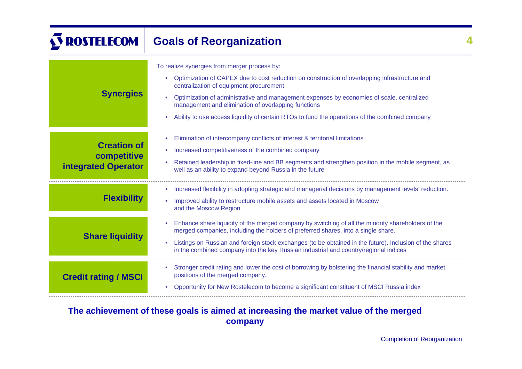# **S ROSTELECOM Goals of Reorganization 4**

| <b>Synergies</b>                                                | To realize synergies from merger process by:<br>Optimization of CAPEX due to cost reduction on construction of overlapping infrastructure and<br>۰<br>centralization of equipment procurement<br>Optimization of administrative and management expenses by economies of scale, centralized<br>۰<br>management and elimination of overlapping functions<br>Ability to use access liquidity of certain RTOs to fund the operations of the combined company |
|-----------------------------------------------------------------|----------------------------------------------------------------------------------------------------------------------------------------------------------------------------------------------------------------------------------------------------------------------------------------------------------------------------------------------------------------------------------------------------------------------------------------------------------|
| <b>Creation of</b><br>competitive<br><b>integrated Operator</b> | Elimination of intercompany conflicts of interest & territorial limitations<br>$\bullet$<br>Increased competitiveness of the combined company<br>٠<br>Retained leadership in fixed-line and BB segments and strengthen position in the mobile segment, as<br>۰<br>well as an ability to expand beyond Russia in the future                                                                                                                               |
| <b>Flexibility</b>                                              | Increased flexibility in adopting strategic and managerial decisions by management levels' reduction.<br>$\bullet$<br>Improved ability to restructure mobile assets and assets located in Moscow<br>$\bullet$<br>and the Moscow Region                                                                                                                                                                                                                   |
| <b>Share liquidity</b>                                          | Enhance share liquidity of the merged company by switching of all the minority shareholders of the<br>$\bullet$<br>merged companies, including the holders of preferred shares, into a single share.<br>Listings on Russian and foreign stock exchanges (to be obtained in the future). Inclusion of the shares<br>۰<br>in the combined company into the key Russian industrial and country/regional indices                                             |
| <b>Credit rating / MSCI</b>                                     | Stronger credit rating and lower the cost of borrowing by bolstering the financial stability and market<br>۰<br>positions of the merged company.<br>Opportunity for New Rostelecom to become a significant constituent of MSCI Russia index                                                                                                                                                                                                              |

# **The achievement of these goals is aimed at increasing the market value of the merged company**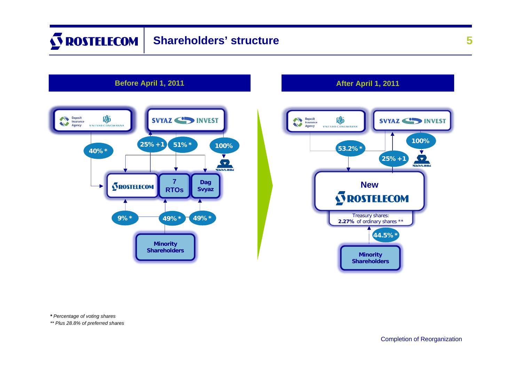### **S ROSTELECOM Shareholders' structure**



# **Before April 1, 2011 After April 1, 2011**



*\* Percentage of voting shares*

*\*\* Plus 28.8% of preferred shares*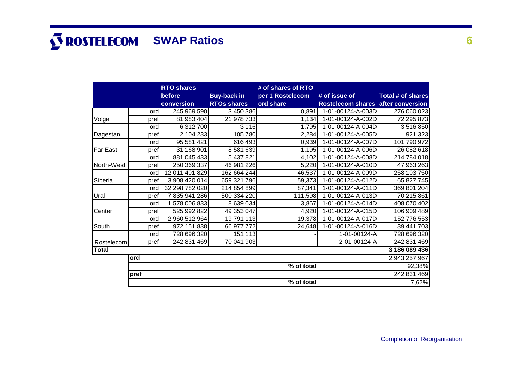|              | <b>RTO shares</b><br># of shares of RTO |                |                    |                  |                                    |                   |  |
|--------------|-----------------------------------------|----------------|--------------------|------------------|------------------------------------|-------------------|--|
|              |                                         | before         | <b>Buy-back in</b> | per 1 Rostelecom | # of issue of                      | Total # of shares |  |
|              |                                         | conversion     | <b>RTOs shares</b> | ord share        | Rostelecom shares after conversion |                   |  |
|              | ord                                     | 245 969 590    | 3 450 386          | 0,891            | 1-01-00124-A-003D                  | 276 060 023       |  |
| Volga        | pref                                    | 81 983 404     | 21 978 733         | 1,134            | 1-01-00124-A-002D                  | 72 295 873        |  |
|              | ord                                     | 6 312 700      | 3 1 1 6            | 1,795            | 1-01-00124-A-004D                  | 3516850           |  |
| Dagestan     | pref                                    | 2 104 233      | 105 780            | 2,284            | 1-01-00124-A-005D                  | 921 323           |  |
|              | ord                                     | 95 581 421     | 616 493            | 0,939            | 1-01-00124-A-007D                  | 101 790 972       |  |
| Far East     | pref                                    | 31 168 901     | 8 581 639          | 1,195            | 1-01-00124-A-006D                  | 26 082 618        |  |
|              | ord                                     | 881 045 433    | 5 437 821          | 4,102            | 1-01-00124-A-008D                  | 214 784 018       |  |
| North-West   | pref                                    | 250 369 337    | 46 981 226         | 5,220            | 1-01-00124-A-010D                  | 47 963 263        |  |
|              | ordl                                    | 12 011 401 829 | 162 664 244        | 46,537           | 1-01-00124-A-009D                  | 258 103 750       |  |
| Siberia      | pref                                    | 3 908 420 014  | 659 321 796        | 59,373           | 1-01-00124-A-012D                  | 65 827 745        |  |
|              | ord                                     | 32 298 782 020 | 214 854 899        | 87,341           | 1-01-00124-A-011D                  | 369 801 204       |  |
| Ural         | pref                                    | 7835941286     | 500 334 220        | 111,598          | 1-01-00124-A-013D                  | 70 215 861        |  |
|              | ord                                     | 1 578 006 833  | 8 639 034          | 3,867            | 1-01-00124-A-014D                  | 408 070 402       |  |
| Center       | pref                                    | 525 992 822    | 49 353 047         | 4,920            | 1-01-00124-A-015D                  | 106 909 489       |  |
|              | ordl                                    | 2 960 512 964  | 19 791 113         | 19,378           | 1-01-00124-A-017D                  | 152 776 553       |  |
| South        | pref                                    | 972 151 838    | 66 977 772         | 24,648           | 1-01-00124-A-016D                  | 39 441 703        |  |
|              | ordl                                    | 728 696 320    | 151 113            |                  | 1-01-00124-A                       | 728 696 320       |  |
| Rostelecom   | pref                                    | 242 831 469    | 70 041 903         |                  | 2-01-00124-A                       | 242 831 469       |  |
| <b>Total</b> |                                         |                |                    |                  |                                    | 3 186 089 436     |  |
|              | 2 943 257 967<br>ord                    |                |                    |                  |                                    |                   |  |
|              | % of total<br>92,38%                    |                |                    |                  |                                    |                   |  |
|              | 242 831 469<br>pref                     |                |                    |                  |                                    |                   |  |
|              | % of total<br>7,62%                     |                |                    |                  |                                    |                   |  |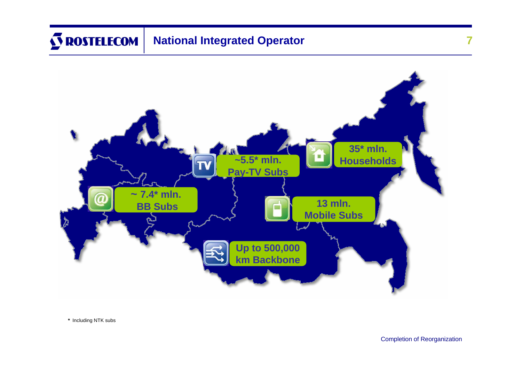# **S ROSTELECOM National Integrated Operator**



*\** Including NTK subs

**7**

Completion of Reorganization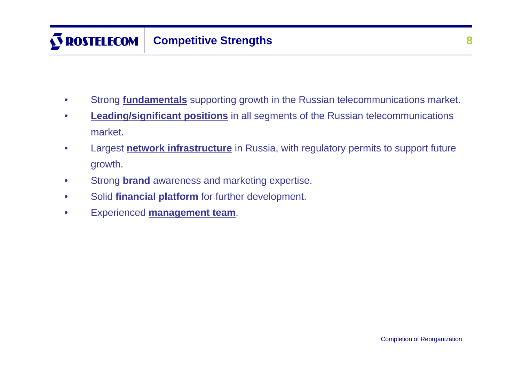- Strong **fundamentals** supporting growth in the Russian telecommunications market.
- **Leading/significant positions** in all segments of the Russian telecommunications market.
- Largest **network infrastructure** in Russia, with regulatory permits to support future growth.
- Strong **brand** awareness and marketing expertise.
- Solid **financial platform** for further development.
- Experienced **management team**.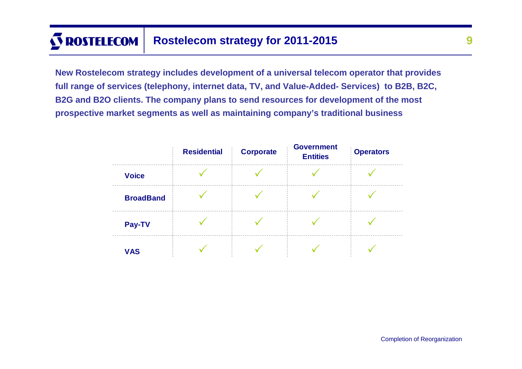# **S ROSTELECOM Rostelecom strategy for 2011-2015**

**New Rostelecom strategy includes development of a universal telecom operator that provides full range of services (telephony, internet data, TV, and Value-Added- Services) to B2B, B2C, B2G and B2O clients. The company plans to send resources for development of the most prospective market segments as well as maintaining company's traditional business** 

|                  | <b>Residential</b> | <b>Corporate</b> | <b>Government</b><br><b>Entities</b> | <b>Operators</b> |
|------------------|--------------------|------------------|--------------------------------------|------------------|
| <b>Voice</b>     |                    |                  |                                      |                  |
| <b>BroadBand</b> |                    |                  |                                      |                  |
| Pay-TV           |                    |                  |                                      |                  |
| <b>VAS</b>       |                    |                  |                                      |                  |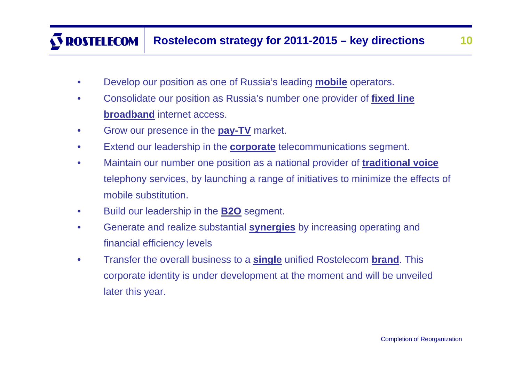## **ROSTELECOM Rostelecom strategy for 2011-2015 – key directions 10**

- Develop our position as one of Russia's leading **mobile** operators.
- Consolidate our position as Russia's number one provider of **fixed line broadband** internet access.
- Grow our presence in the **pay-TV** market.
- Extend our leadership in the **corporate** telecommunications segment.
- Maintain our number one position as a national provider of **traditional voice**  telephony services, by launching a range of initiatives to minimize the effects of mobile substitution.
- Build our leadership in the **B2O** segment.
- Generate and realize substantial **synergies** by increasing operating and financial efficiency levels
- Transfer the overall business to a **single** unified Rostelecom **brand**. This corporate identity is under development at the moment and will be unveiled later this year.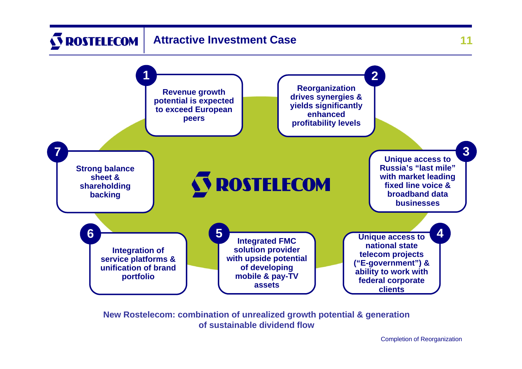

**New Rostelecom: combination of unrealized growth potential & generation of sustainable dividend flow**